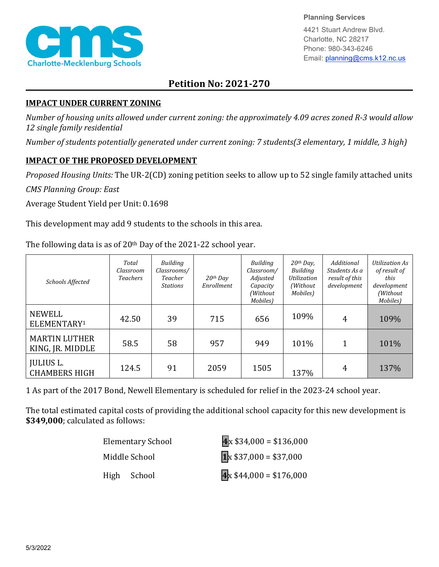

**Planning Services**

4421 Stuart Andrew Blvd. Charlotte, NC 28217 Phone: 980-343-6246 Email: planning@cms.k12.nc.us

## **Petition No: 2021-270**

## **IMPACT UNDER CURRENT ZONING**

*Number of housing units allowed under current zoning: the approximately 4.09 acres zoned R-3 would allow 12 single family residential*

*Number of students potentially generated under current zoning: 7 students(3 elementary, 1 middle, 3 high)*

## **IMPACT OF THE PROPOSED DEVELOPMENT**

*Proposed Housing Units:* The UR-2(CD) zoning petition seeks to allow up to 52 single family attached units

*CMS Planning Group: East*

Average Student Yield per Unit: 0.1698

This development may add 9 students to the schools in this area.

The following data is as of  $20<sup>th</sup>$  Day of the 2021-22 school year.

| Schools Affected                         | Total<br>Classroom<br><b>Teachers</b> | Building<br>Classrooms/<br>Teacher<br><b>Stations</b> | $20$ <sup>th</sup> Day<br>Enrollment | Building<br>Classroom/<br>Adjusted<br>Capacity<br>(Without<br>Mobiles) | $20th$ Day,<br>Building<br>Utilization<br>(Without)<br>Mobiles) | Additional<br>Students As a<br>result of this<br>development | <b>Utilization As</b><br>of result of<br>this<br>development<br>(Without<br>Mobiles) |
|------------------------------------------|---------------------------------------|-------------------------------------------------------|--------------------------------------|------------------------------------------------------------------------|-----------------------------------------------------------------|--------------------------------------------------------------|--------------------------------------------------------------------------------------|
| NEWELL<br>ELEMENTARY <sup>1</sup>        | 42.50                                 | 39                                                    | 715                                  | 656                                                                    | 109%                                                            | 4                                                            | 109%                                                                                 |
| <b>MARTIN LUTHER</b><br>KING, JR. MIDDLE | 58.5                                  | 58                                                    | 957                                  | 949                                                                    | 101%                                                            | 1                                                            | 101%                                                                                 |
| <b>JULIUS L.</b><br><b>CHAMBERS HIGH</b> | 124.5                                 | 91                                                    | 2059                                 | 1505                                                                   | 137%                                                            | 4                                                            | 137%                                                                                 |

1 As part of the 2017 Bond, Newell Elementary is scheduled for relief in the 2023-24 school year.

The total estimated capital costs of providing the additional school capacity for this new development is **\$349,000**; calculated as follows:

| Elementary School | $4x $34,000 = $136,000$             |
|-------------------|-------------------------------------|
| Middle School     | $\sqrt{1} \times $37,000 = $37,000$ |
| High School       | $4x $44,000 = $176,000$             |